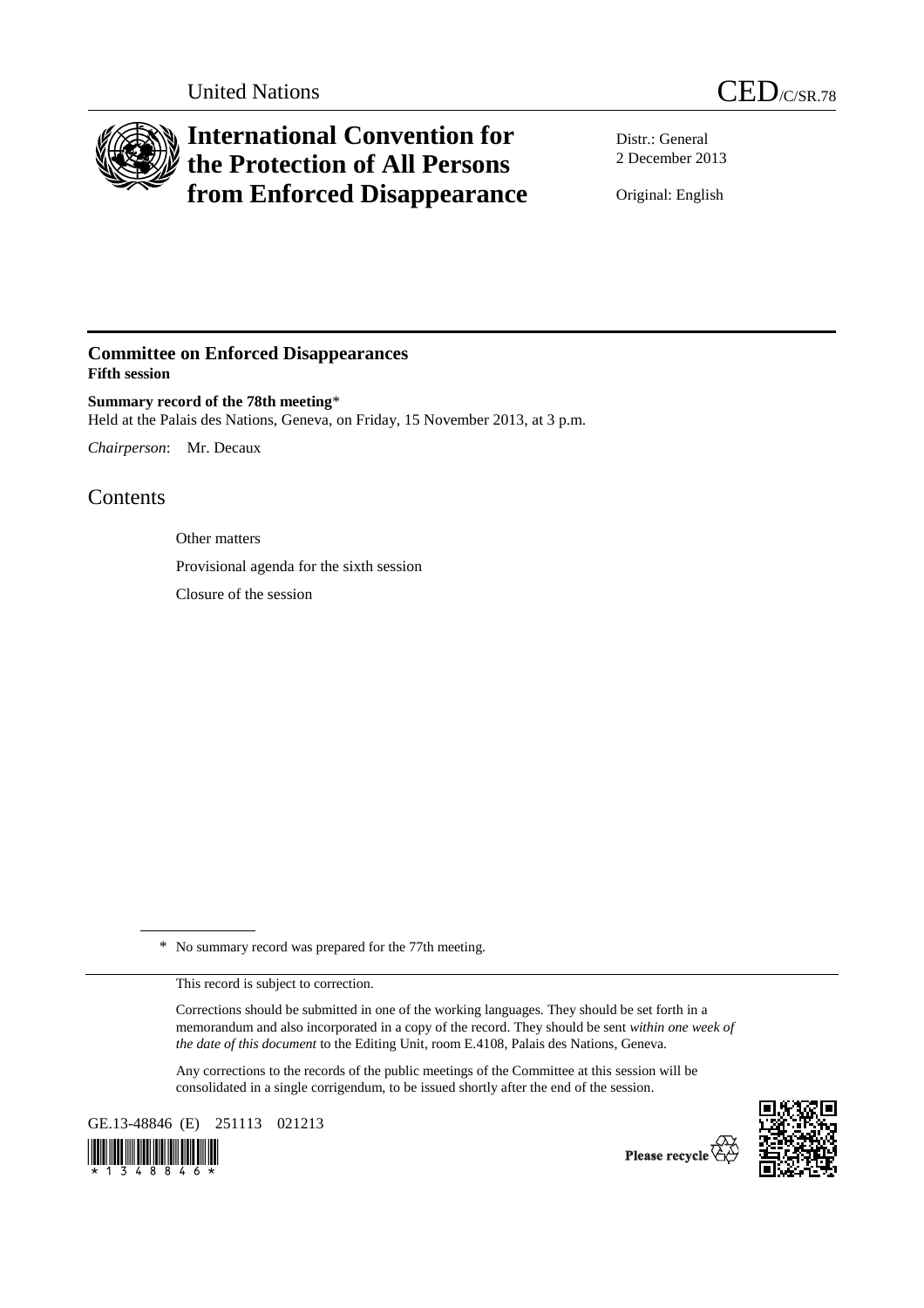

# **International Convention for the Protection of All Persons from Enforced Disappearance**

Distr.: General 2 December 2013

Original: English

# **Committee on Enforced Disappearances Fifth session**

**Summary record of the 78th meeting**\* Held at the Palais des Nations, Geneva, on Friday, 15 November 2013, at 3 p.m.

*Chairperson*: Mr. Decaux

# Contents

Other matters Provisional agenda for the sixth session Closure of the session

\* No summary record was prepared for the 77th meeting.

This record is subject to correction.

Corrections should be submitted in one of the working languages. They should be set forth in a memorandum and also incorporated in a copy of the record. They should be sent *within one week of the date of this document* to the Editing Unit, room E.4108, Palais des Nations, Geneva.

Any corrections to the records of the public meetings of the Committee at this session will be consolidated in a single corrigendum, to be issued shortly after the end of the session.

GE.13-48846 (E) 251113 021213





Please recycle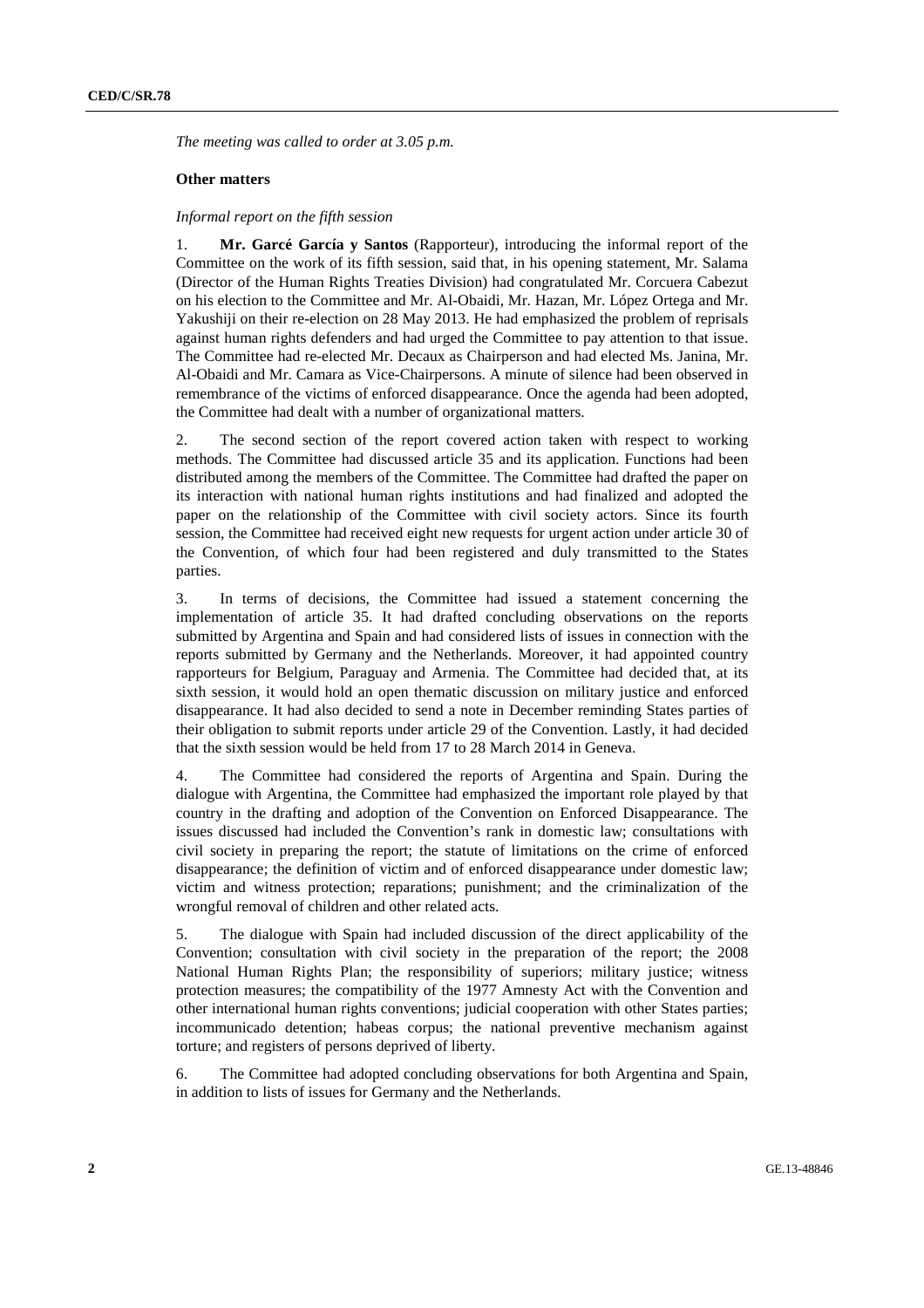*The meeting was called to order at 3.05 p.m.* 

## **Other matters**

## *Informal report on the fifth session*

1. **Mr. Garcé García y Santos** (Rapporteur), introducing the informal report of the Committee on the work of its fifth session, said that, in his opening statement, Mr. Salama (Director of the Human Rights Treaties Division) had congratulated Mr. Corcuera Cabezut on his election to the Committee and Mr. Al-Obaidi, Mr. Hazan, Mr. López Ortega and Mr. Yakushiji on their re-election on 28 May 2013. He had emphasized the problem of reprisals against human rights defenders and had urged the Committee to pay attention to that issue. The Committee had re-elected Mr. Decaux as Chairperson and had elected Ms. Janina, Mr. Al-Obaidi and Mr. Camara as Vice-Chairpersons. A minute of silence had been observed in remembrance of the victims of enforced disappearance. Once the agenda had been adopted, the Committee had dealt with a number of organizational matters.

2. The second section of the report covered action taken with respect to working methods. The Committee had discussed article 35 and its application. Functions had been distributed among the members of the Committee. The Committee had drafted the paper on its interaction with national human rights institutions and had finalized and adopted the paper on the relationship of the Committee with civil society actors. Since its fourth session, the Committee had received eight new requests for urgent action under article 30 of the Convention, of which four had been registered and duly transmitted to the States parties.

3. In terms of decisions, the Committee had issued a statement concerning the implementation of article 35. It had drafted concluding observations on the reports submitted by Argentina and Spain and had considered lists of issues in connection with the reports submitted by Germany and the Netherlands. Moreover, it had appointed country rapporteurs for Belgium, Paraguay and Armenia. The Committee had decided that, at its sixth session, it would hold an open thematic discussion on military justice and enforced disappearance. It had also decided to send a note in December reminding States parties of their obligation to submit reports under article 29 of the Convention. Lastly, it had decided that the sixth session would be held from 17 to 28 March 2014 in Geneva.

4. The Committee had considered the reports of Argentina and Spain. During the dialogue with Argentina, the Committee had emphasized the important role played by that country in the drafting and adoption of the Convention on Enforced Disappearance. The issues discussed had included the Convention's rank in domestic law; consultations with civil society in preparing the report; the statute of limitations on the crime of enforced disappearance; the definition of victim and of enforced disappearance under domestic law; victim and witness protection; reparations; punishment; and the criminalization of the wrongful removal of children and other related acts.

5. The dialogue with Spain had included discussion of the direct applicability of the Convention; consultation with civil society in the preparation of the report; the 2008 National Human Rights Plan; the responsibility of superiors; military justice; witness protection measures; the compatibility of the 1977 Amnesty Act with the Convention and other international human rights conventions; judicial cooperation with other States parties; incommunicado detention; habeas corpus; the national preventive mechanism against torture; and registers of persons deprived of liberty.

6. The Committee had adopted concluding observations for both Argentina and Spain, in addition to lists of issues for Germany and the Netherlands.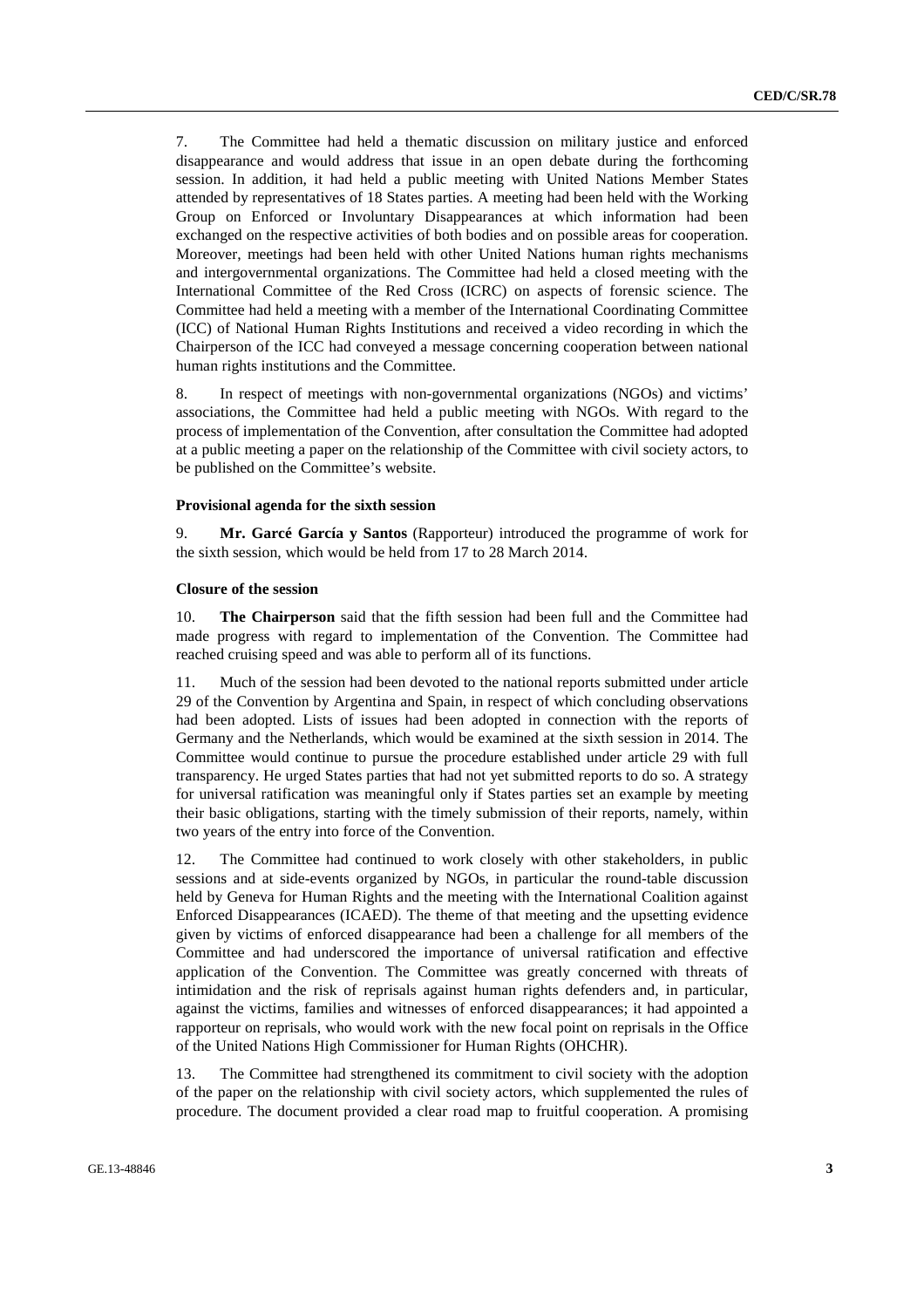7. The Committee had held a thematic discussion on military justice and enforced disappearance and would address that issue in an open debate during the forthcoming session. In addition, it had held a public meeting with United Nations Member States attended by representatives of 18 States parties. A meeting had been held with the Working Group on Enforced or Involuntary Disappearances at which information had been exchanged on the respective activities of both bodies and on possible areas for cooperation. Moreover, meetings had been held with other United Nations human rights mechanisms and intergovernmental organizations. The Committee had held a closed meeting with the International Committee of the Red Cross (ICRC) on aspects of forensic science. The Committee had held a meeting with a member of the International Coordinating Committee (ICC) of National Human Rights Institutions and received a video recording in which the Chairperson of the ICC had conveyed a message concerning cooperation between national human rights institutions and the Committee.

8. In respect of meetings with non-governmental organizations (NGOs) and victims' associations, the Committee had held a public meeting with NGOs. With regard to the process of implementation of the Convention, after consultation the Committee had adopted at a public meeting a paper on the relationship of the Committee with civil society actors, to be published on the Committee's website.

### **Provisional agenda for the sixth session**

9. **Mr. Garcé García y Santos** (Rapporteur) introduced the programme of work for the sixth session, which would be held from 17 to 28 March 2014.

### **Closure of the session**

10. **The Chairperson** said that the fifth session had been full and the Committee had made progress with regard to implementation of the Convention. The Committee had reached cruising speed and was able to perform all of its functions.

11. Much of the session had been devoted to the national reports submitted under article 29 of the Convention by Argentina and Spain, in respect of which concluding observations had been adopted. Lists of issues had been adopted in connection with the reports of Germany and the Netherlands, which would be examined at the sixth session in 2014. The Committee would continue to pursue the procedure established under article 29 with full transparency. He urged States parties that had not yet submitted reports to do so. A strategy for universal ratification was meaningful only if States parties set an example by meeting their basic obligations, starting with the timely submission of their reports, namely, within two years of the entry into force of the Convention.

12. The Committee had continued to work closely with other stakeholders, in public sessions and at side-events organized by NGOs, in particular the round-table discussion held by Geneva for Human Rights and the meeting with the International Coalition against Enforced Disappearances (ICAED). The theme of that meeting and the upsetting evidence given by victims of enforced disappearance had been a challenge for all members of the Committee and had underscored the importance of universal ratification and effective application of the Convention. The Committee was greatly concerned with threats of intimidation and the risk of reprisals against human rights defenders and, in particular, against the victims, families and witnesses of enforced disappearances; it had appointed a rapporteur on reprisals, who would work with the new focal point on reprisals in the Office of the United Nations High Commissioner for Human Rights (OHCHR).

13. The Committee had strengthened its commitment to civil society with the adoption of the paper on the relationship with civil society actors, which supplemented the rules of procedure. The document provided a clear road map to fruitful cooperation. A promising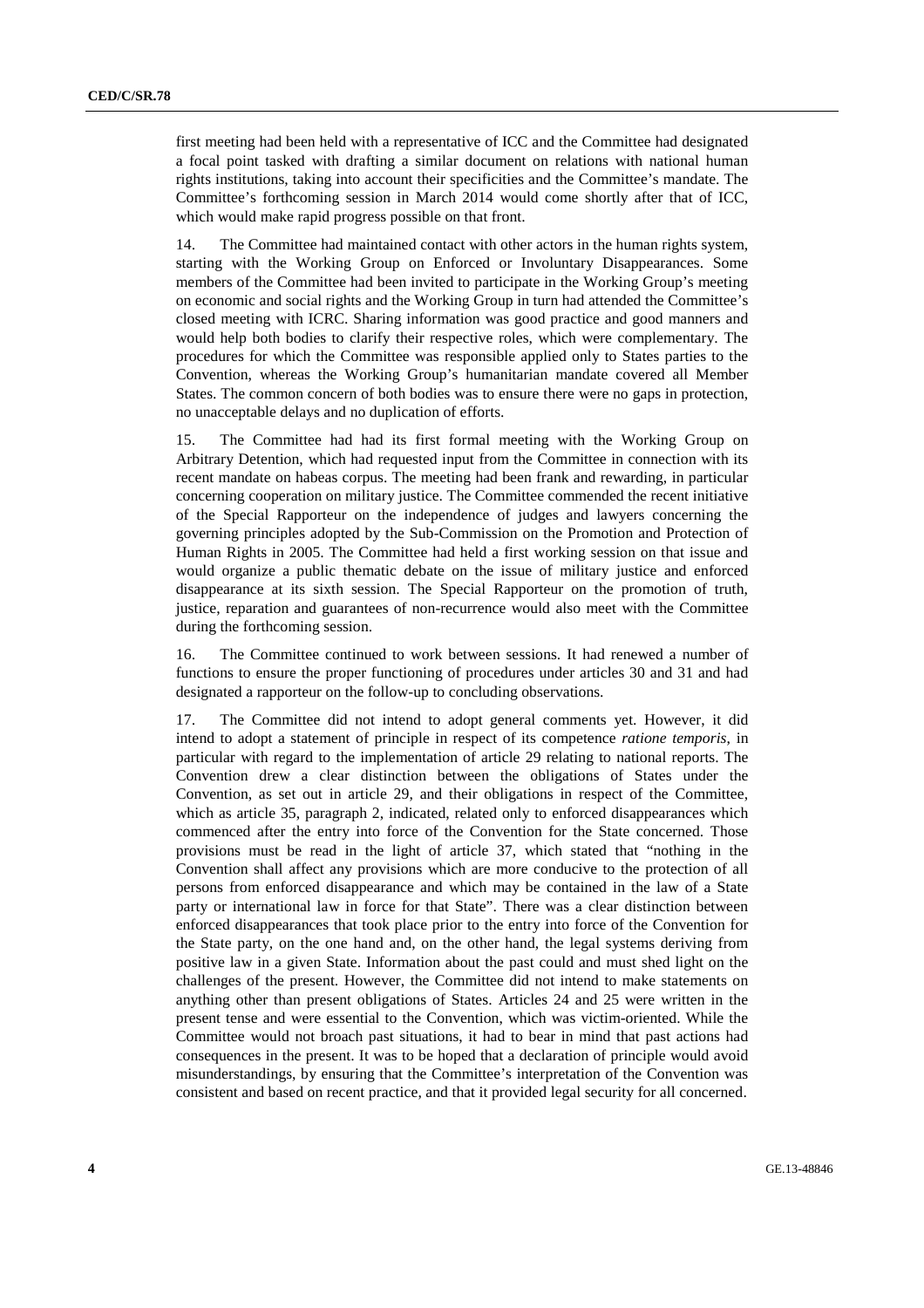first meeting had been held with a representative of ICC and the Committee had designated a focal point tasked with drafting a similar document on relations with national human rights institutions, taking into account their specificities and the Committee's mandate. The Committee's forthcoming session in March 2014 would come shortly after that of ICC, which would make rapid progress possible on that front.

14. The Committee had maintained contact with other actors in the human rights system, starting with the Working Group on Enforced or Involuntary Disappearances. Some members of the Committee had been invited to participate in the Working Group's meeting on economic and social rights and the Working Group in turn had attended the Committee's closed meeting with ICRC. Sharing information was good practice and good manners and would help both bodies to clarify their respective roles, which were complementary. The procedures for which the Committee was responsible applied only to States parties to the Convention, whereas the Working Group's humanitarian mandate covered all Member States. The common concern of both bodies was to ensure there were no gaps in protection, no unacceptable delays and no duplication of efforts.

15. The Committee had had its first formal meeting with the Working Group on Arbitrary Detention, which had requested input from the Committee in connection with its recent mandate on habeas corpus. The meeting had been frank and rewarding, in particular concerning cooperation on military justice. The Committee commended the recent initiative of the Special Rapporteur on the independence of judges and lawyers concerning the governing principles adopted by the Sub-Commission on the Promotion and Protection of Human Rights in 2005. The Committee had held a first working session on that issue and would organize a public thematic debate on the issue of military justice and enforced disappearance at its sixth session. The Special Rapporteur on the promotion of truth, justice, reparation and guarantees of non-recurrence would also meet with the Committee during the forthcoming session.

16. The Committee continued to work between sessions. It had renewed a number of functions to ensure the proper functioning of procedures under articles 30 and 31 and had designated a rapporteur on the follow-up to concluding observations.

17. The Committee did not intend to adopt general comments yet. However, it did intend to adopt a statement of principle in respect of its competence *ratione temporis*, in particular with regard to the implementation of article 29 relating to national reports. The Convention drew a clear distinction between the obligations of States under the Convention, as set out in article 29, and their obligations in respect of the Committee, which as article 35, paragraph 2, indicated, related only to enforced disappearances which commenced after the entry into force of the Convention for the State concerned. Those provisions must be read in the light of article 37, which stated that "nothing in the Convention shall affect any provisions which are more conducive to the protection of all persons from enforced disappearance and which may be contained in the law of a State party or international law in force for that State". There was a clear distinction between enforced disappearances that took place prior to the entry into force of the Convention for the State party, on the one hand and, on the other hand, the legal systems deriving from positive law in a given State. Information about the past could and must shed light on the challenges of the present. However, the Committee did not intend to make statements on anything other than present obligations of States. Articles 24 and 25 were written in the present tense and were essential to the Convention, which was victim-oriented. While the Committee would not broach past situations, it had to bear in mind that past actions had consequences in the present. It was to be hoped that a declaration of principle would avoid misunderstandings, by ensuring that the Committee's interpretation of the Convention was consistent and based on recent practice, and that it provided legal security for all concerned.